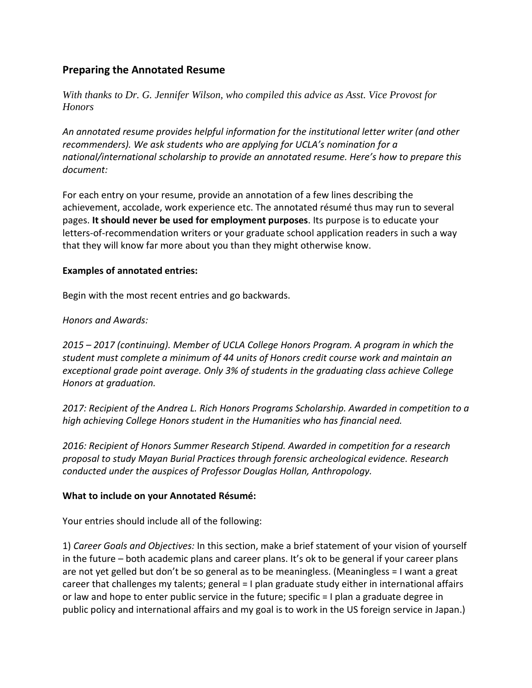# **Preparing the Annotated Resume**

*With thanks to Dr. G. Jennifer Wilson, who compiled this advice as Asst. Vice Provost for Honors*

*An annotated resume provides helpful information for the institutional letter writer (and other recommenders). We ask students who are applying for UCLA's nomination for a national/international scholarship to provide an annotated resume. Here's how to prepare this document:*

For each entry on your resume, provide an annotation of a few lines describing the achievement, accolade, work experience etc. The annotated résumé thus may run to several pages. **It should never be used for employment purposes**. Its purpose is to educate your letters-of-recommendation writers or your graduate school application readers in such a way that they will know far more about you than they might otherwise know.

### **Examples of annotated entries:**

Begin with the most recent entries and go backwards.

## *Honors and Awards:*

*2015 – 2017 (continuing). Member of UCLA College Honors Program. A program in which the student must complete a minimum of 44 units of Honors credit course work and maintain an exceptional grade point average. Only 3% of students in the graduating class achieve College Honors at graduation.* 

*2017: Recipient of the Andrea L. Rich Honors Programs Scholarship. Awarded in competition to a high achieving College Honors student in the Humanities who has financial need.* 

*2016: Recipient of Honors Summer Research Stipend. Awarded in competition for a research proposal to study Mayan Burial Practices through forensic archeological evidence. Research conducted under the auspices of Professor Douglas Hollan, Anthropology.* 

### **What to include on your Annotated Résumé:**

Your entries should include all of the following:

1) *Career Goals and Objectives:* In this section, make a brief statement of your vision of yourself in the future – both academic plans and career plans. It's ok to be general if your career plans are not yet gelled but don't be so general as to be meaningless. (Meaningless = I want a great career that challenges my talents; general = I plan graduate study either in international affairs or law and hope to enter public service in the future; specific = I plan a graduate degree in public policy and international affairs and my goal is to work in the US foreign service in Japan.)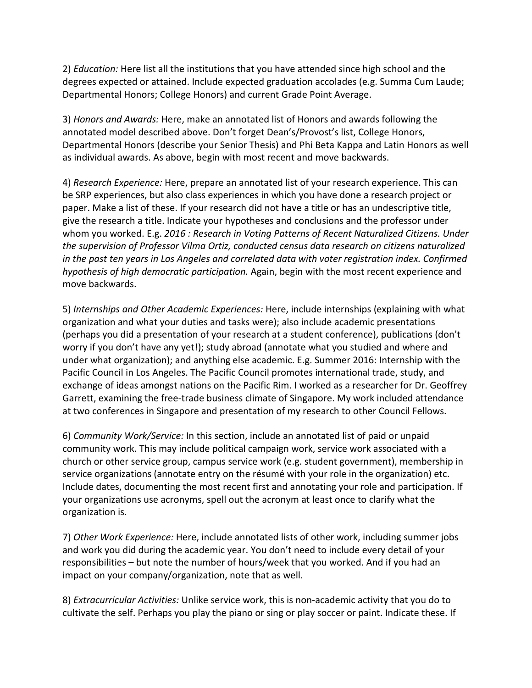2) *Education:* Here list all the institutions that you have attended since high school and the degrees expected or attained. Include expected graduation accolades (e.g. Summa Cum Laude; Departmental Honors; College Honors) and current Grade Point Average.

3) *Honors and Awards:* Here, make an annotated list of Honors and awards following the annotated model described above. Don't forget Dean's/Provost's list, College Honors, Departmental Honors (describe your Senior Thesis) and Phi Beta Kappa and Latin Honors as well as individual awards. As above, begin with most recent and move backwards.

4) *Research Experience:* Here, prepare an annotated list of your research experience. This can be SRP experiences, but also class experiences in which you have done a research project or paper. Make a list of these. If your research did not have a title or has an undescriptive title, give the research a title. Indicate your hypotheses and conclusions and the professor under whom you worked. E.g. *2016 : Research in Voting Patterns of Recent Naturalized Citizens. Under the supervision of Professor Vilma Ortiz, conducted census data research on citizens naturalized in the past ten years in Los Angeles and correlated data with voter registration index. Confirmed hypothesis of high democratic participation.* Again, begin with the most recent experience and move backwards.

5) *Internships and Other Academic Experiences:* Here, include internships (explaining with what organization and what your duties and tasks were); also include academic presentations (perhaps you did a presentation of your research at a student conference), publications (don't worry if you don't have any yet!); study abroad (annotate what you studied and where and under what organization); and anything else academic. E.g. Summer 2016: Internship with the Pacific Council in Los Angeles. The Pacific Council promotes international trade, study, and exchange of ideas amongst nations on the Pacific Rim. I worked as a researcher for Dr. Geoffrey Garrett, examining the free-trade business climate of Singapore. My work included attendance at two conferences in Singapore and presentation of my research to other Council Fellows.

6) *Community Work/Service:* In this section, include an annotated list of paid or unpaid community work. This may include political campaign work, service work associated with a church or other service group, campus service work (e.g. student government), membership in service organizations (annotate entry on the résumé with your role in the organization) etc. Include dates, documenting the most recent first and annotating your role and participation. If your organizations use acronyms, spell out the acronym at least once to clarify what the organization is.

7) *Other Work Experience:* Here, include annotated lists of other work, including summer jobs and work you did during the academic year. You don't need to include every detail of your responsibilities – but note the number of hours/week that you worked. And if you had an impact on your company/organization, note that as well.

8) *Extracurricular Activities:* Unlike service work, this is non-academic activity that you do to cultivate the self. Perhaps you play the piano or sing or play soccer or paint. Indicate these. If